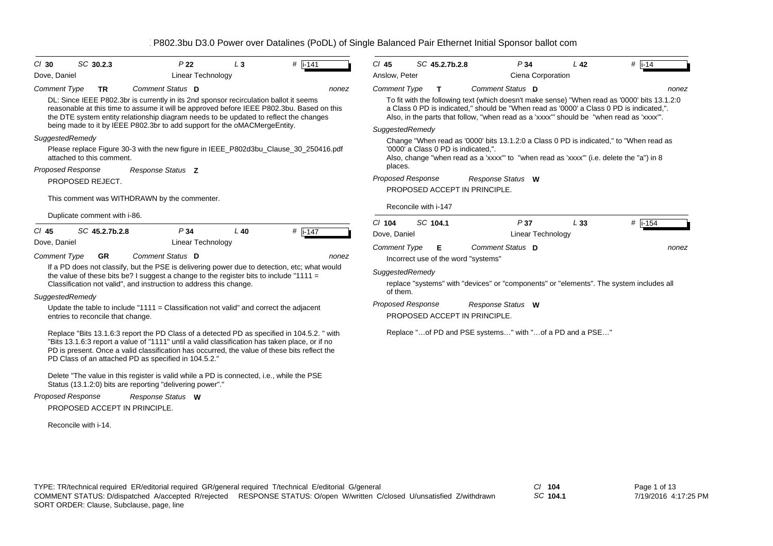| $CI$ 30             | SC 30.2.3                         | P <sub>22</sub>                                                                                                                                                                                                                                                                                                                                          | $L_3$  | $#$  i-141       | $Cl$ 45                  |                      | SC 45.2.7b.2.8                      | P34                                                                                                                                                                                                                                                                               | L <sub>42</sub> | $#$  i-14   |
|---------------------|-----------------------------------|----------------------------------------------------------------------------------------------------------------------------------------------------------------------------------------------------------------------------------------------------------------------------------------------------------------------------------------------------------|--------|------------------|--------------------------|----------------------|-------------------------------------|-----------------------------------------------------------------------------------------------------------------------------------------------------------------------------------------------------------------------------------------------------------------------------------|-----------------|-------------|
| Dove, Daniel        |                                   | Linear Technology                                                                                                                                                                                                                                                                                                                                        |        |                  | Anslow, Peter            |                      |                                     | Ciena Corporation                                                                                                                                                                                                                                                                 |                 |             |
| <b>Comment Type</b> | <b>TR</b>                         | Comment Status D                                                                                                                                                                                                                                                                                                                                         |        | nonez            | <b>Comment Type</b>      |                      | $\mathbf{T}$                        | Comment Status D                                                                                                                                                                                                                                                                  |                 | nonez       |
|                     |                                   | DL: Since IEEE P802.3br is currently in its 2nd sponsor recirculation ballot it seems<br>reasonable at this time to assume it will be approved before IEEE P802.3bu. Based on this<br>the DTE system entity relationship diagram needs to be updated to reflect the changes<br>being made to it by IEEE P802.3br to add support for the oMACMergeEntity. |        |                  |                          |                      |                                     | To fit with the following text (which doesn't make sense) "When read as '0000' bits 13.1.2:0<br>a Class 0 PD is indicated," should be "When read as '0000' a Class 0 PD is indicated,".<br>Also, in the parts that follow, "when read as a 'xxxx" should be "when read as 'xxxx". |                 |             |
| SuggestedRemedy     |                                   |                                                                                                                                                                                                                                                                                                                                                          |        |                  | SuggestedRemedy          |                      |                                     |                                                                                                                                                                                                                                                                                   |                 |             |
|                     | attached to this comment.         | Please replace Figure 30-3 with the new figure in IEEE_P802d3bu_Clause_30_250416.pdf                                                                                                                                                                                                                                                                     |        |                  | places.                  |                      | '0000' a Class 0 PD is indicated,". | Change "When read as '0000' bits 13.1.2:0 a Class 0 PD is indicated," to "When read as<br>Also, change "when read as a 'xxxx" to "when read as 'xxxx" (i.e. delete the "a") in 8                                                                                                  |                 |             |
|                     | <b>Proposed Response</b>          | Response Status Z                                                                                                                                                                                                                                                                                                                                        |        |                  | <b>Proposed Response</b> |                      |                                     | Response Status W                                                                                                                                                                                                                                                                 |                 |             |
|                     | PROPOSED REJECT.                  | This comment was WITHDRAWN by the commenter.                                                                                                                                                                                                                                                                                                             |        |                  |                          |                      |                                     | PROPOSED ACCEPT IN PRINCIPLE.                                                                                                                                                                                                                                                     |                 |             |
|                     |                                   |                                                                                                                                                                                                                                                                                                                                                          |        |                  |                          | Reconcile with i-147 |                                     |                                                                                                                                                                                                                                                                                   |                 |             |
|                     | Duplicate comment with i-86.      |                                                                                                                                                                                                                                                                                                                                                          |        |                  | $Cl$ 104                 | SC 104.1             |                                     | P37                                                                                                                                                                                                                                                                               | L33             | $\#$  i-154 |
| $CI$ 45             | SC 45.2.7b.2.8                    | P34                                                                                                                                                                                                                                                                                                                                                      | $L$ 40 | # $\sqrt{1.147}$ | Dove, Daniel             |                      |                                     | Linear Technology                                                                                                                                                                                                                                                                 |                 |             |
| Dove, Daniel        |                                   | <b>Linear Technology</b>                                                                                                                                                                                                                                                                                                                                 |        |                  | <b>Comment Type</b>      |                      | Е                                   | Comment Status D                                                                                                                                                                                                                                                                  |                 | nonez       |
| <b>Comment Type</b> | <b>GR</b>                         | Comment Status D                                                                                                                                                                                                                                                                                                                                         |        | nonez            |                          |                      | Incorrect use of the word "systems" |                                                                                                                                                                                                                                                                                   |                 |             |
|                     |                                   | If a PD does not classify, but the PSE is delivering power due to detection, etc; what would<br>the value of these bits be? I suggest a change to the register bits to include "1111 =                                                                                                                                                                   |        |                  | SuggestedRemedy          |                      |                                     |                                                                                                                                                                                                                                                                                   |                 |             |
|                     |                                   | Classification not valid", and instruction to address this change.                                                                                                                                                                                                                                                                                       |        |                  |                          |                      |                                     | replace "systems" with "devices" or "components" or "elements". The system includes all                                                                                                                                                                                           |                 |             |
| SuggestedRemedy     |                                   |                                                                                                                                                                                                                                                                                                                                                          |        |                  | of them.                 |                      |                                     |                                                                                                                                                                                                                                                                                   |                 |             |
|                     | entries to reconcile that change. | Update the table to include "1111 = Classification not valid" and correct the adjacent                                                                                                                                                                                                                                                                   |        |                  | <b>Proposed Response</b> |                      |                                     | Response Status W<br>PROPOSED ACCEPT IN PRINCIPLE.                                                                                                                                                                                                                                |                 |             |
|                     |                                   | Replace "Bits 13.1.6:3 report the PD Class of a detected PD as specified in 104.5.2. " with<br>"Bits 13.1.6:3 report a value of "1111" until a valid classification has taken place, or if no<br>PD is present. Once a valid classification has occurred, the value of these bits reflect the<br>PD Class of an attached PD as specified in 104.5.2."    |        |                  |                          |                      |                                     | Replace "of PD and PSE systems" with "of a PD and a PSE"                                                                                                                                                                                                                          |                 |             |
|                     |                                   | Delete "The value in this register is valid while a PD is connected, i.e., while the PSE<br>Status (13.1.2:0) bits are reporting "delivering power"."                                                                                                                                                                                                    |        |                  |                          |                      |                                     |                                                                                                                                                                                                                                                                                   |                 |             |
|                     | <b>Proposed Response</b>          | Response Status W                                                                                                                                                                                                                                                                                                                                        |        |                  |                          |                      |                                     |                                                                                                                                                                                                                                                                                   |                 |             |
|                     | PROPOSED ACCEPT IN PRINCIPLE.     |                                                                                                                                                                                                                                                                                                                                                          |        |                  |                          |                      |                                     |                                                                                                                                                                                                                                                                                   |                 |             |
|                     | Reconcile with i-14.              |                                                                                                                                                                                                                                                                                                                                                          |        |                  |                          |                      |                                     |                                                                                                                                                                                                                                                                                   |                 |             |

*SC* **104.1**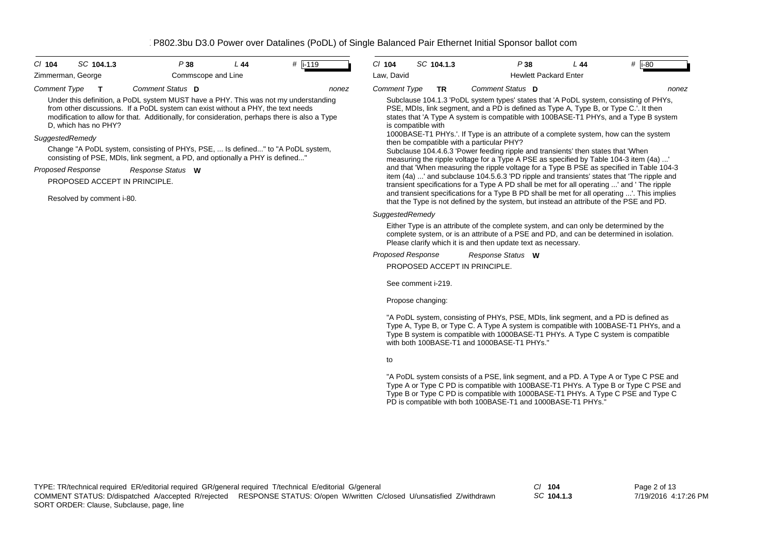| CI 104<br>SC 104.1.3                                              |                                                                                                                                                                                                                                                                                              | P38                | L44 | $#$ i-119 |       | C/ 104                   | SC 104.1.3                      | P38                                                                                                                                                                                                                                                                                                                                                                                                                                                                                                                                                                                                                                                                                                                                                                                             | L44 | $#$ i-80 |
|-------------------------------------------------------------------|----------------------------------------------------------------------------------------------------------------------------------------------------------------------------------------------------------------------------------------------------------------------------------------------|--------------------|-----|-----------|-------|--------------------------|---------------------------------|-------------------------------------------------------------------------------------------------------------------------------------------------------------------------------------------------------------------------------------------------------------------------------------------------------------------------------------------------------------------------------------------------------------------------------------------------------------------------------------------------------------------------------------------------------------------------------------------------------------------------------------------------------------------------------------------------------------------------------------------------------------------------------------------------|-----|----------|
| Zimmerman, George                                                 |                                                                                                                                                                                                                                                                                              | Commscope and Line |     |           |       | Law, David               |                                 | <b>Hewlett Packard Enter</b>                                                                                                                                                                                                                                                                                                                                                                                                                                                                                                                                                                                                                                                                                                                                                                    |     |          |
| Comment Type<br>т<br>D, which has no PHY?                         | Comment Status D<br>Under this definition, a PoDL system MUST have a PHY. This was not my understanding<br>from other discussions. If a PoDL system can exist without a PHY, the text needs<br>modification to allow for that. Additionally, for consideration, perhaps there is also a Type |                    |     |           | nonez | <b>Comment Type</b>      | <b>TR</b><br>is compatible with | Comment Status D<br>Subclause 104.1.3 'PoDL system types' states that 'A PoDL system, consisting of PHYs,<br>PSE, MDIs, link segment, and a PD is defined as Type A, Type B, or Type C.'. It then<br>states that 'A Type A system is compatible with 100BASE-T1 PHYs, and a Type B system                                                                                                                                                                                                                                                                                                                                                                                                                                                                                                       |     | nonez    |
| SuggestedRemedy<br>Proposed Response<br>Resolved by comment i-80. | Change "A PoDL system, consisting of PHYs, PSE,  Is defined" to "A PoDL system,<br>consisting of PSE, MDIs, link segment, a PD, and optionally a PHY is defined"<br>Response Status W<br>PROPOSED ACCEPT IN PRINCIPLE.                                                                       |                    |     |           |       |                          |                                 | 1000BASE-T1 PHYs.'. If Type is an attribute of a complete system, how can the system<br>then be compatible with a particular PHY?<br>Subclause 104.4.6.3 'Power feeding ripple and transients' then states that 'When<br>measuring the ripple voltage for a Type A PSE as specified by Table 104-3 item (4a) '<br>and that 'When measuring the ripple voltage for a Type B PSE as specified in Table 104-3<br>item (4a) ' and subclause 104.5.6.3 'PD ripple and transients' states that 'The ripple and<br>transient specifications for a Type A PD shall be met for all operating ' and 'The ripple<br>and transient specifications for a Type B PD shall be met for all operating '. This implies<br>that the Type is not defined by the system, but instead an attribute of the PSE and PD. |     |          |
|                                                                   |                                                                                                                                                                                                                                                                                              |                    |     |           |       | SuggestedRemedy          |                                 | Either Type is an attribute of the complete system, and can only be determined by the<br>complete system, or is an attribute of a PSE and PD, and can be determined in isolation.<br>Please clarify which it is and then update text as necessary.                                                                                                                                                                                                                                                                                                                                                                                                                                                                                                                                              |     |          |
|                                                                   |                                                                                                                                                                                                                                                                                              |                    |     |           |       | <b>Proposed Response</b> | See comment i-219.              | Response Status W<br>PROPOSED ACCEPT IN PRINCIPLE.                                                                                                                                                                                                                                                                                                                                                                                                                                                                                                                                                                                                                                                                                                                                              |     |          |
|                                                                   |                                                                                                                                                                                                                                                                                              |                    |     |           |       |                          | Propose changing:               | "A PoDL system, consisting of PHYs, PSE, MDIs, link segment, and a PD is defined as                                                                                                                                                                                                                                                                                                                                                                                                                                                                                                                                                                                                                                                                                                             |     |          |
|                                                                   |                                                                                                                                                                                                                                                                                              |                    |     |           |       |                          |                                 | Type A, Type B, or Type C. A Type A system is compatible with 100BASE-T1 PHYs, and a<br>Type B system is compatible with 1000BASE-T1 PHYs. A Type C system is compatible<br>with both 100BASE-T1 and 1000BASE-T1 PHYs."                                                                                                                                                                                                                                                                                                                                                                                                                                                                                                                                                                         |     |          |
|                                                                   |                                                                                                                                                                                                                                                                                              |                    |     |           |       | to                       |                                 |                                                                                                                                                                                                                                                                                                                                                                                                                                                                                                                                                                                                                                                                                                                                                                                                 |     |          |
|                                                                   |                                                                                                                                                                                                                                                                                              |                    |     |           |       |                          |                                 | "A PoDL system consists of a PSE, link segment, and a PD. A Type A or Type C PSE and<br>Type A or Type C PD is compatible with 100BASE-T1 PHYs. A Type B or Type C PSE and<br>Type B or Type C PD is compatible with 1000BASE-T1 PHYs. A Type C PSE and Type C<br>PD is compatible with both 100BASE-T1 and 1000BASE-T1 PHYs."                                                                                                                                                                                                                                                                                                                                                                                                                                                                  |     |          |

*SC* **104.1.3**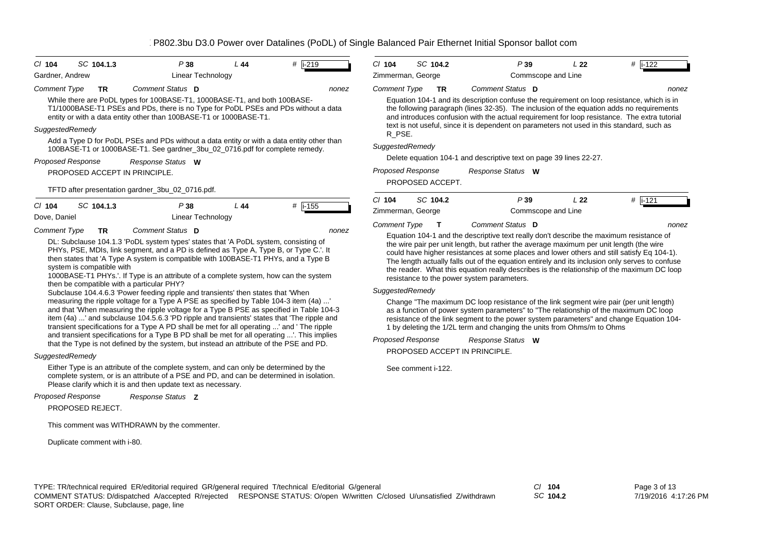| SC 104.1.3<br>$CI$ 104                                        | P38                                                                                                                                                                                                                                                                                                                                                                            | L 44 | #   i-219 | C/104                         |                    | SC 104.2         | P39                                                                                                                                                                                                                                                                                                                            | L22                                   | #  i-122                                                                                                                                                                                      |
|---------------------------------------------------------------|--------------------------------------------------------------------------------------------------------------------------------------------------------------------------------------------------------------------------------------------------------------------------------------------------------------------------------------------------------------------------------|------|-----------|-------------------------------|--------------------|------------------|--------------------------------------------------------------------------------------------------------------------------------------------------------------------------------------------------------------------------------------------------------------------------------------------------------------------------------|---------------------------------------|-----------------------------------------------------------------------------------------------------------------------------------------------------------------------------------------------|
| Gardner, Andrew                                               | Linear Technology                                                                                                                                                                                                                                                                                                                                                              |      |           | Zimmerman, George             |                    |                  |                                                                                                                                                                                                                                                                                                                                | Commscope and Line                    |                                                                                                                                                                                               |
| <b>Comment Type</b><br><b>TR</b>                              | Comment Status D                                                                                                                                                                                                                                                                                                                                                               |      | nonez     | <b>Comment Type</b>           |                    | <b>TR</b>        | Comment Status D                                                                                                                                                                                                                                                                                                               |                                       | none                                                                                                                                                                                          |
|                                                               | While there are PoDL types for 100BASE-T1, 1000BASE-T1, and both 100BASE-<br>T1/1000BASE-T1 PSEs and PDs, there is no Type for PoDL PSEs and PDs without a data<br>entity or with a data entity other than 100BASE-T1 or 1000BASE-T1.                                                                                                                                          |      |           |                               |                    |                  | Equation 104-1 and its description confuse the requirement on loop resistance, which is in<br>the following paragraph (lines 32-35). The inclusion of the equation adds no requirements<br>text is not useful, since it is dependent on parameters not used in this standard, such as                                          |                                       | and introduces confusion with the actual requirement for loop resistance. The extra tutorial                                                                                                  |
| SuggestedRemedy                                               |                                                                                                                                                                                                                                                                                                                                                                                |      |           | R_PSE.                        |                    |                  |                                                                                                                                                                                                                                                                                                                                |                                       |                                                                                                                                                                                               |
|                                                               | Add a Type D for PoDL PSEs and PDs without a data entity or with a data entity other than<br>100BASE-T1 or 1000BASE-T1. See gardner_3bu_02_0716.pdf for complete remedy.                                                                                                                                                                                                       |      |           | SuggestedRemedy               |                    |                  |                                                                                                                                                                                                                                                                                                                                |                                       |                                                                                                                                                                                               |
| <b>Proposed Response</b>                                      | Response Status W                                                                                                                                                                                                                                                                                                                                                              |      |           |                               |                    |                  | Delete equation 104-1 and descriptive text on page 39 lines 22-27.                                                                                                                                                                                                                                                             |                                       |                                                                                                                                                                                               |
|                                                               | PROPOSED ACCEPT IN PRINCIPLE.                                                                                                                                                                                                                                                                                                                                                  |      |           | Proposed Response             |                    | PROPOSED ACCEPT. | Response Status W                                                                                                                                                                                                                                                                                                              |                                       |                                                                                                                                                                                               |
|                                                               | TFTD after presentation gardner_3bu_02_0716.pdf.                                                                                                                                                                                                                                                                                                                               |      |           |                               |                    |                  |                                                                                                                                                                                                                                                                                                                                |                                       |                                                                                                                                                                                               |
| SC 104.1.3<br>$Cl$ 104                                        | P38                                                                                                                                                                                                                                                                                                                                                                            | L44  | #  i-155  | $Cl$ 104<br>Zimmerman, George |                    | SC 104.2         | P39                                                                                                                                                                                                                                                                                                                            | L <sub>22</sub><br>Commscope and Line | $#$ i-121                                                                                                                                                                                     |
| Dove, Daniel                                                  | <b>Linear Technology</b>                                                                                                                                                                                                                                                                                                                                                       |      |           | <b>Comment Type</b>           |                    | $\mathbf{T}$     | Comment Status D                                                                                                                                                                                                                                                                                                               |                                       | none                                                                                                                                                                                          |
| <b>Comment Type</b><br><b>TR</b><br>system is compatible with | Comment Status D<br>DL: Subclause 104.1.3 'PoDL system types' states that 'A PoDL system, consisting of<br>PHYs, PSE, MDIs, link segment, and a PD is defined as Type A, Type B, or Type C.'. It<br>then states that 'A Type A system is compatible with 100BASE-T1 PHYs, and a Type B<br>1000BASE-T1 PHYs.'. If Type is an attribute of a complete system, how can the system |      | nonez     |                               |                    |                  | Equation 104-1 and the descriptive text really don't describe the maximum resistance of<br>the wire pair per unit length, but rather the average maximum per unit length (the wire<br>could have higher resistances at some places and lower others and still satisfy Eq 104-1).<br>resistance to the power system parameters. |                                       | The length actually falls out of the equation entirely and its inclusion only serves to confuse<br>the reader. What this equation really describes is the relationship of the maximum DC loop |
|                                                               | then be compatible with a particular PHY?<br>Subclause 104.4.6.3 'Power feeding ripple and transients' then states that 'When                                                                                                                                                                                                                                                  |      |           | SuggestedRemedy               |                    |                  |                                                                                                                                                                                                                                                                                                                                |                                       |                                                                                                                                                                                               |
|                                                               | measuring the ripple voltage for a Type A PSE as specified by Table 104-3 item (4a)'<br>and that 'When measuring the ripple voltage for a Type B PSE as specified in Table 104-3<br>item (4a) ' and subclause 104.5.6.3 'PD ripple and transients' states that 'The ripple and<br>transient specifications for a Type A PD shall be met for all operating ' and ' The ripple   |      |           |                               |                    |                  | Change "The maximum DC loop resistance of the link segment wire pair (per unit length)<br>as a function of power system parameters" to "The relationship of the maximum DC loop<br>1 by deleting the 1/2L term and changing the units from Ohms/m to Ohms                                                                      |                                       | resistance of the link segment to the power system parameters" and change Equation 104-                                                                                                       |
|                                                               | and transient specifications for a Type B PD shall be met for all operating '. This implies<br>that the Type is not defined by the system, but instead an attribute of the PSE and PD.                                                                                                                                                                                         |      |           | <b>Proposed Response</b>      |                    |                  | Response Status W                                                                                                                                                                                                                                                                                                              |                                       |                                                                                                                                                                                               |
| SuggestedRemedy                                               |                                                                                                                                                                                                                                                                                                                                                                                |      |           |                               |                    |                  | PROPOSED ACCEPT IN PRINCIPLE.                                                                                                                                                                                                                                                                                                  |                                       |                                                                                                                                                                                               |
|                                                               | Either Type is an attribute of the complete system, and can only be determined by the<br>complete system, or is an attribute of a PSE and PD, and can be determined in isolation.                                                                                                                                                                                              |      |           |                               | See comment i-122. |                  |                                                                                                                                                                                                                                                                                                                                |                                       |                                                                                                                                                                                               |

TYPE: TR/technical required ER/editorial required GR/general required T/technical E/editorial G/general *Cl* **104** SORT ORDER: Clause, Subclause, page, line COMMENT STATUS: D/dispatched A/accepted R/rejected RESPONSE STATUS: O/open W/written C/closed U/unsatisfied Z/withdrawn

Please clarify which it is and then update text as necessary.

*Response Status* **Z**

This comment was WITHDRAWN by the commenter.

PROPOSED REJECT.

*Proposed Response*

Duplicate comment with i-80.

*SC* **104.2**

Page 3 of 13 7/19/2016 4:17:26 PM

*nonez*

*nonez*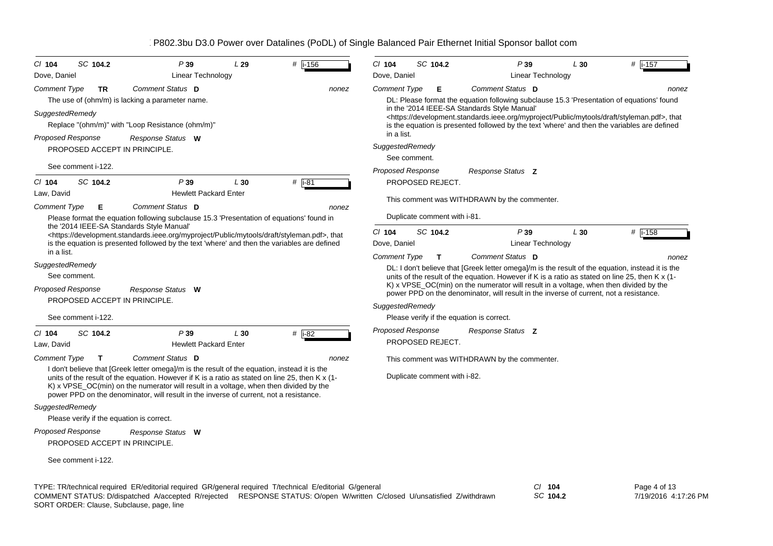| SC 104.2<br>$CI$ 104                                      | P39                                                                                                                                                                                                                                                                                                                                                                                | L29 | $#$ i-156          | CI 104                   | SC 104.2                     | P39                                                                                                                                                                                                                                                                                          | L30 | # i-157 |
|-----------------------------------------------------------|------------------------------------------------------------------------------------------------------------------------------------------------------------------------------------------------------------------------------------------------------------------------------------------------------------------------------------------------------------------------------------|-----|--------------------|--------------------------|------------------------------|----------------------------------------------------------------------------------------------------------------------------------------------------------------------------------------------------------------------------------------------------------------------------------------------|-----|---------|
| Dove, Daniel                                              | Linear Technology                                                                                                                                                                                                                                                                                                                                                                  |     |                    | Dove, Daniel             |                              | Linear Technology                                                                                                                                                                                                                                                                            |     |         |
| <b>Comment Type</b><br><b>TR</b>                          | Comment Status D<br>The use of (ohm/m) is lacking a parameter name.                                                                                                                                                                                                                                                                                                                |     | nonez              | <b>Comment Type</b>      | Е                            | Comment Status D<br>DL: Please format the equation following subclause 15.3 'Presentation of equations' found                                                                                                                                                                                |     | nonez   |
| SuggestedRemedy                                           | Replace "(ohm/m)" with "Loop Resistance (ohm/m)"                                                                                                                                                                                                                                                                                                                                   |     |                    |                          |                              | in the '2014 IEEE-SA Standards Style Manual'<br><https: development.standards.ieee.org="" draft="" myproject="" mytools="" public="" styleman.pdf="">, that<br/>is the equation is presented followed by the text 'where' and then the variables are defined</https:>                        |     |         |
| <b>Proposed Response</b>                                  | Response Status W                                                                                                                                                                                                                                                                                                                                                                  |     |                    | in a list.               |                              |                                                                                                                                                                                                                                                                                              |     |         |
| PROPOSED ACCEPT IN PRINCIPLE.                             |                                                                                                                                                                                                                                                                                                                                                                                    |     |                    | SuggestedRemedy          |                              |                                                                                                                                                                                                                                                                                              |     |         |
| See comment i-122.                                        |                                                                                                                                                                                                                                                                                                                                                                                    |     |                    |                          | See comment.                 |                                                                                                                                                                                                                                                                                              |     |         |
| SC 104.2<br>$Cl$ 104                                      | P39                                                                                                                                                                                                                                                                                                                                                                                | L30 | # $\overline{181}$ | <b>Proposed Response</b> | PROPOSED REJECT.             | Response Status Z                                                                                                                                                                                                                                                                            |     |         |
| Law, David                                                | <b>Hewlett Packard Enter</b>                                                                                                                                                                                                                                                                                                                                                       |     |                    |                          |                              |                                                                                                                                                                                                                                                                                              |     |         |
| Comment Type<br>Е                                         | Comment Status D                                                                                                                                                                                                                                                                                                                                                                   |     | nonez              |                          |                              | This comment was WITHDRAWN by the commenter.                                                                                                                                                                                                                                                 |     |         |
|                                                           | Please format the equation following subclause 15.3 'Presentation of equations' found in                                                                                                                                                                                                                                                                                           |     |                    |                          | Duplicate comment with i-81. |                                                                                                                                                                                                                                                                                              |     |         |
| the '2014 IEEE-SA Standards Style Manual'                 | <https: development.standards.ieee.org="" draft="" myproject="" mytools="" public="" styleman.pdf="">, that<br/>is the equation is presented followed by the text 'where' and then the variables are defined</https:>                                                                                                                                                              |     |                    | $Cl$ 104<br>Dove, Daniel | SC 104.2                     | P39<br>Linear Technology                                                                                                                                                                                                                                                                     | L30 | # i-158 |
| in a list.                                                |                                                                                                                                                                                                                                                                                                                                                                                    |     |                    | <b>Comment Type</b>      | $\mathbf{T}$                 | Comment Status D                                                                                                                                                                                                                                                                             |     | nonez   |
| SuggestedRemedy<br>See comment.                           |                                                                                                                                                                                                                                                                                                                                                                                    |     |                    |                          |                              | DL: I don't believe that [Greek letter omega]/m is the result of the equation, instead it is the<br>units of the result of the equation. However if K is a ratio as stated on line 25, then K x (1-<br>K) x VPSE_OC(min) on the numerator will result in a voltage, when then divided by the |     |         |
| <b>Proposed Response</b>                                  | Response Status W                                                                                                                                                                                                                                                                                                                                                                  |     |                    |                          |                              | power PPD on the denominator, will result in the inverse of current, not a resistance.                                                                                                                                                                                                       |     |         |
| PROPOSED ACCEPT IN PRINCIPLE.                             |                                                                                                                                                                                                                                                                                                                                                                                    |     |                    | SuggestedRemedy          |                              |                                                                                                                                                                                                                                                                                              |     |         |
| See comment i-122.                                        |                                                                                                                                                                                                                                                                                                                                                                                    |     |                    |                          |                              | Please verify if the equation is correct.                                                                                                                                                                                                                                                    |     |         |
| SC 104.2<br>$CI$ 104<br>Law, David                        | P39<br><b>Hewlett Packard Enter</b>                                                                                                                                                                                                                                                                                                                                                | L30 | # $\overline{182}$ | <b>Proposed Response</b> | PROPOSED REJECT.             | Response Status Z                                                                                                                                                                                                                                                                            |     |         |
| <b>Comment Type</b><br>$\mathbf{T}$                       | Comment Status D                                                                                                                                                                                                                                                                                                                                                                   |     | nonez              |                          |                              | This comment was WITHDRAWN by the commenter.                                                                                                                                                                                                                                                 |     |         |
|                                                           | I don't believe that [Greek letter omega]/m is the result of the equation, instead it is the<br>units of the result of the equation. However if K is a ratio as stated on line 25, then K x (1-<br>K) x VPSE_OC(min) on the numerator will result in a voltage, when then divided by the<br>power PPD on the denominator, will result in the inverse of current, not a resistance. |     |                    |                          | Duplicate comment with i-82. |                                                                                                                                                                                                                                                                                              |     |         |
| SuggestedRemedy                                           |                                                                                                                                                                                                                                                                                                                                                                                    |     |                    |                          |                              |                                                                                                                                                                                                                                                                                              |     |         |
| Please verify if the equation is correct.                 |                                                                                                                                                                                                                                                                                                                                                                                    |     |                    |                          |                              |                                                                                                                                                                                                                                                                                              |     |         |
| <b>Proposed Response</b><br>PROPOSED ACCEPT IN PRINCIPLE. | Response Status W                                                                                                                                                                                                                                                                                                                                                                  |     |                    |                          |                              |                                                                                                                                                                                                                                                                                              |     |         |
| See comment i-122.                                        |                                                                                                                                                                                                                                                                                                                                                                                    |     |                    |                          |                              |                                                                                                                                                                                                                                                                                              |     |         |

TYPE: TR/technical required ER/editorial required GR/general required T/technical E/editorial G/general *Cl* **104** SORT ORDER: Clause, Subclause, page, line COMMENT STATUS: D/dispatched A/accepted R/rejected RESPONSE STATUS: O/open W/written C/closed U/unsatisfied Z/withdrawn

*SC* **104.2**

Page 4 of 13 7/19/2016 4:17:26 PM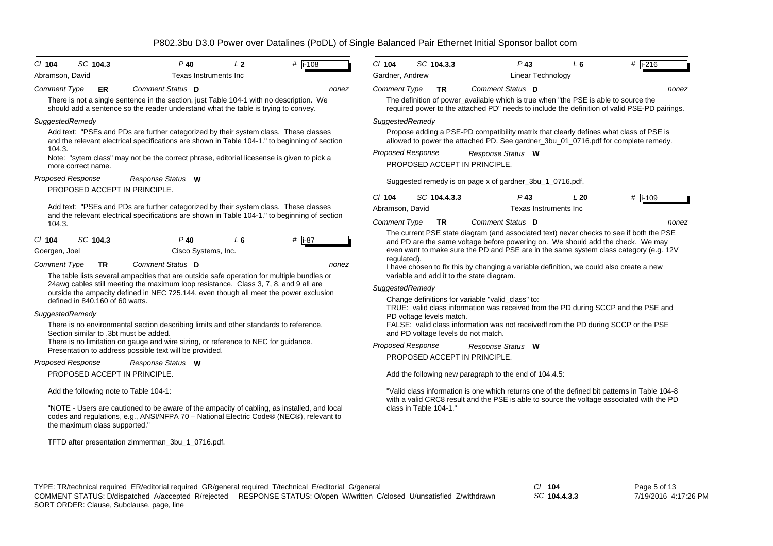| $CI$ 104                                                            | SC 104.3                                                                | $P$ 40                                                                                                                                                                                                                                                                                                                         | L <sub>2</sub> | $#$ i-108       | $Cl$ 104                       | SC 104.3.3                          | $P$ 43                                                                                                                                                                                                                                                                                                                                                                                                                                                      | $L_6$ | # i-216   |
|---------------------------------------------------------------------|-------------------------------------------------------------------------|--------------------------------------------------------------------------------------------------------------------------------------------------------------------------------------------------------------------------------------------------------------------------------------------------------------------------------|----------------|-----------------|--------------------------------|-------------------------------------|-------------------------------------------------------------------------------------------------------------------------------------------------------------------------------------------------------------------------------------------------------------------------------------------------------------------------------------------------------------------------------------------------------------------------------------------------------------|-------|-----------|
| Abramson, David                                                     |                                                                         | Texas Instruments Inc                                                                                                                                                                                                                                                                                                          |                |                 | Gardner, Andrew                |                                     | Linear Technology                                                                                                                                                                                                                                                                                                                                                                                                                                           |       |           |
| <b>Comment Type</b>                                                 | ER                                                                      | Comment Status D                                                                                                                                                                                                                                                                                                               |                | nonez           | <b>Comment Type</b>            | <b>TR</b>                           | Comment Status D                                                                                                                                                                                                                                                                                                                                                                                                                                            |       | nonez     |
|                                                                     |                                                                         | There is not a single sentence in the section, just Table 104-1 with no description. We<br>should add a sentence so the reader understand what the table is trying to convey.                                                                                                                                                  |                |                 |                                |                                     | The definition of power_available which is true when "the PSE is able to source the<br>required power to the attached PD" needs to include the definition of valid PSE-PD pairings.                                                                                                                                                                                                                                                                         |       |           |
| SuggestedRemedy                                                     |                                                                         |                                                                                                                                                                                                                                                                                                                                |                |                 | SuggestedRemedy                |                                     |                                                                                                                                                                                                                                                                                                                                                                                                                                                             |       |           |
|                                                                     |                                                                         | Add text: "PSEs and PDs are further categorized by their system class. These classes<br>and the relevant electrical specifications are shown in Table 104-1." to beginning of section                                                                                                                                          |                |                 |                                |                                     | Propose adding a PSE-PD compatibility matrix that clearly defines what class of PSE is<br>allowed to power the attached PD. See gardner_3bu_01_0716.pdf for complete remedy.                                                                                                                                                                                                                                                                                |       |           |
| 104.3.                                                              | more correct name.                                                      | Note: "sytem class" may not be the correct phrase, editorial licesense is given to pick a                                                                                                                                                                                                                                      |                |                 | <b>Proposed Response</b>       |                                     | Response Status W<br>PROPOSED ACCEPT IN PRINCIPLE.                                                                                                                                                                                                                                                                                                                                                                                                          |       |           |
| Proposed Response                                                   |                                                                         | Response Status W                                                                                                                                                                                                                                                                                                              |                |                 |                                |                                     | Suggested remedy is on page x of gardner_3bu_1_0716.pdf.                                                                                                                                                                                                                                                                                                                                                                                                    |       |           |
|                                                                     | PROPOSED ACCEPT IN PRINCIPLE.                                           |                                                                                                                                                                                                                                                                                                                                |                |                 | $Cl$ 104                       | SC 104.4.3.3                        | $P$ 43                                                                                                                                                                                                                                                                                                                                                                                                                                                      | L20   | $#$ i-109 |
|                                                                     |                                                                         | Add text: "PSEs and PDs are further categorized by their system class. These classes                                                                                                                                                                                                                                           |                |                 | Abramson, David                |                                     | Texas Instruments Inc                                                                                                                                                                                                                                                                                                                                                                                                                                       |       |           |
| 104.3.                                                              |                                                                         | and the relevant electrical specifications are shown in Table 104-1." to beginning of section                                                                                                                                                                                                                                  |                |                 | <b>Comment Type</b>            | <b>TR</b>                           | Comment Status D                                                                                                                                                                                                                                                                                                                                                                                                                                            |       | nonez     |
| $CI$ 104<br>Goergen, Joel<br><b>Comment Type</b><br>SuggestedRemedy | SC 104.3<br><b>TR</b><br>defined in 840.160 of 60 watts.                | P 40<br>Cisco Systems, Inc.<br>Comment Status D<br>The table lists several ampacities that are outside safe operation for multiple bundles or<br>24awg cables still meeting the maximum loop resistance. Class 3, 7, 8, and 9 all are<br>outside the ampacity defined in NEC 725.144, even though all meet the power exclusion | $L_6$          | # i-87<br>nonez | requlated).<br>SuggestedRemedy | PD voltage levels match.            | and PD are the same voltage before powering on. We should add the check. We may<br>even want to make sure the PD and PSE are in the same system class category (e.g. 12V<br>I have chosen to fix this by changing a variable definition, we could also create a new<br>variable and add it to the state diagram.<br>Change definitions for variable "valid_class" to:<br>TRUE: valid class information was received from the PD during SCCP and the PSE and |       |           |
|                                                                     | Section similar to .3bt must be added.                                  | There is no environmental section describing limits and other standards to reference.<br>There is no limitation on gauge and wire sizing, or reference to NEC for guidance.<br>Presentation to address possible text will be provided.                                                                                         |                |                 | Proposed Response              | and PD voltage levels do not match. | FALSE: valid class information was not receivedf rom the PD during SCCP or the PSE<br>Response Status W                                                                                                                                                                                                                                                                                                                                                     |       |           |
| Proposed Response                                                   |                                                                         | Response Status W                                                                                                                                                                                                                                                                                                              |                |                 |                                |                                     | PROPOSED ACCEPT IN PRINCIPLE.                                                                                                                                                                                                                                                                                                                                                                                                                               |       |           |
|                                                                     | PROPOSED ACCEPT IN PRINCIPLE.                                           |                                                                                                                                                                                                                                                                                                                                |                |                 |                                |                                     | Add the following new paragraph to the end of 104.4.5:                                                                                                                                                                                                                                                                                                                                                                                                      |       |           |
|                                                                     | Add the following note to Table 104-1:<br>the maximum class supported." | "NOTE - Users are cautioned to be aware of the ampacity of cabling, as installed, and local<br>codes and regulations, e.g., ANSI/NFPA 70 - National Electric Code® (NEC®), relevant to                                                                                                                                         |                |                 |                                | class in Table 104-1."              | "Valid class information is one which returns one of the defined bit patterns in Table 104-8<br>with a valid CRC8 result and the PSE is able to source the voltage associated with the PD                                                                                                                                                                                                                                                                   |       |           |
|                                                                     |                                                                         | TFTD after presentation zimmerman_3bu_1_0716.pdf.                                                                                                                                                                                                                                                                              |                |                 |                                |                                     |                                                                                                                                                                                                                                                                                                                                                                                                                                                             |       |           |

TYPE: TR/technical required ER/editorial required GR/general required T/technical E/editorial G/general *Cl* **104** SORT ORDER: Clause, Subclause, page, line COMMENT STATUS: D/dispatched A/accepted R/rejected RESPONSE STATUS: O/open W/written C/closed U/unsatisfied Z/withdrawn

*SC* **104.4.3.3**

Page 5 of 13 7/19/2016 4:17:26 PM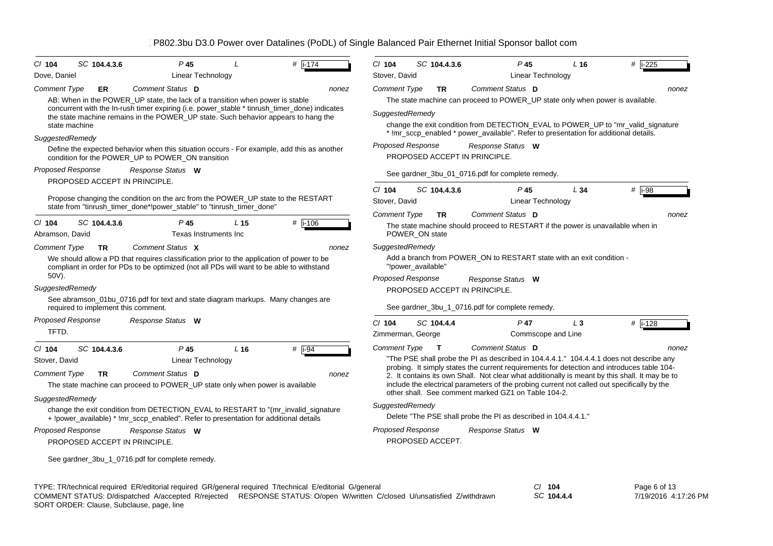| $CI$ 104                    | SC 104.4.3.6                        | $P$ 45                                                                                                                                                                                 |                 | #<br>$i - 174$                                                                                           | $CI$ 104                  | SC 104.4.3.6                  | P <sub>45</sub>                                                                             | $L_{16}$                 | #  i-225                                                                                       |
|-----------------------------|-------------------------------------|----------------------------------------------------------------------------------------------------------------------------------------------------------------------------------------|-----------------|----------------------------------------------------------------------------------------------------------|---------------------------|-------------------------------|---------------------------------------------------------------------------------------------|--------------------------|------------------------------------------------------------------------------------------------|
| Dove, Daniel                |                                     | Linear Technology                                                                                                                                                                      |                 |                                                                                                          | Stover, David             |                               |                                                                                             | Linear Technology        |                                                                                                |
| Comment Type                | ER                                  | Comment Status D                                                                                                                                                                       |                 | nonez                                                                                                    | <b>Comment Type</b>       | <b>TR</b>                     | Comment Status D                                                                            |                          | nonez                                                                                          |
|                             |                                     | AB: When in the POWER_UP state, the lack of a transition when power is stable<br>concurrent with the In-rush timer expiring (i.e. power_stable * tinrush_timer_done) indicates         |                 |                                                                                                          |                           |                               | The state machine can proceed to POWER_UP state only when power is available.               |                          |                                                                                                |
|                             |                                     | the state machine remains in the POWER_UP state. Such behavior appears to hang the                                                                                                     |                 |                                                                                                          | SuggestedRemedy           |                               |                                                                                             |                          |                                                                                                |
|                             | state machine                       |                                                                                                                                                                                        |                 |                                                                                                          |                           |                               | * !mr_sccp_enabled * power_available". Refer to presentation for additional details.        |                          | change the exit condition from DETECTION EVAL to POWER UP to "mr valid signature               |
| SuggestedRemedy             |                                     |                                                                                                                                                                                        |                 |                                                                                                          | <b>Proposed Response</b>  |                               | Response Status W                                                                           |                          |                                                                                                |
|                             |                                     | Define the expected behavior when this situation occurs - For example, add this as another<br>condition for the POWER_UP to POWER_ON transition                                        |                 |                                                                                                          |                           | PROPOSED ACCEPT IN PRINCIPLE. |                                                                                             |                          |                                                                                                |
| Proposed Response           |                                     | Response Status W                                                                                                                                                                      |                 |                                                                                                          |                           |                               | See gardner_3bu_01_0716.pdf for complete remedy.                                            |                          |                                                                                                |
|                             | PROPOSED ACCEPT IN PRINCIPLE.       |                                                                                                                                                                                        |                 |                                                                                                          |                           |                               |                                                                                             |                          |                                                                                                |
|                             |                                     | Propose changing the condition on the arc from the POWER UP state to the RESTART<br>state from "tinrush timer done*!power stable" to "tinrush timer done"                              |                 |                                                                                                          | $Cl$ 104<br>Stover, David | SC 104.4.3.6                  | $P$ 45                                                                                      | L34<br>Linear Technology | # i-98                                                                                         |
|                             |                                     |                                                                                                                                                                                        |                 |                                                                                                          | <b>Comment Type</b>       | TR.                           | Comment Status D                                                                            |                          | nonez                                                                                          |
| $CI$ 104<br>Abramson, David | SC 104.4.3.6                        | P 45<br>Texas Instruments Inc                                                                                                                                                          | L <sub>15</sub> | #  i-106                                                                                                 |                           | POWER_ON state                | The state machine should proceed to RESTART if the power is unavailable when in             |                          |                                                                                                |
| <b>Comment Type</b>         | <b>TR</b>                           | Comment Status X                                                                                                                                                                       |                 | nonez                                                                                                    | SuggestedRemedy           |                               |                                                                                             |                          |                                                                                                |
|                             |                                     | We should allow a PD that requires classification prior to the application of power to be<br>compliant in order for PDs to be optimized (not all PDs will want to be able to withstand |                 |                                                                                                          |                           | "!power available"            | Add a branch from POWER ON to RESTART state with an exit condition -                        |                          |                                                                                                |
| 50V).                       |                                     |                                                                                                                                                                                        |                 |                                                                                                          | <b>Proposed Response</b>  |                               | Response Status W                                                                           |                          |                                                                                                |
| SuggestedRemedy             |                                     |                                                                                                                                                                                        |                 |                                                                                                          |                           | PROPOSED ACCEPT IN PRINCIPLE. |                                                                                             |                          |                                                                                                |
|                             | required to implement this comment. | See abramson_01bu_0716.pdf for text and state diagram markups. Many changes are                                                                                                        |                 |                                                                                                          |                           |                               | See gardner_3bu_1_0716.pdf for complete remedy.                                             |                          |                                                                                                |
| <b>Proposed Response</b>    |                                     | Response Status W                                                                                                                                                                      |                 |                                                                                                          | $Cl$ 104                  | SC 104.4.4                    | $P$ 47                                                                                      | $L_3$                    | #   i-128                                                                                      |
| TFTD.                       |                                     |                                                                                                                                                                                        |                 |                                                                                                          | Zimmerman, George         |                               |                                                                                             | Commscope and Line       |                                                                                                |
| $CI$ 104                    | SC 104.4.3.6                        | $P$ 45                                                                                                                                                                                 | L <sub>16</sub> | #<br>$i-94$                                                                                              | <b>Comment Type</b>       | $\mathbf{T}$                  | Comment Status D                                                                            |                          | nonez                                                                                          |
| Stover, David               |                                     | Linear Technology                                                                                                                                                                      |                 |                                                                                                          |                           |                               |                                                                                             |                          | "The PSE shall probe the PI as described in 104.4.4.1." 104.4.4.1 does not describe any        |
| <b>Comment Type</b>         | TR                                  | Comment Status D                                                                                                                                                                       |                 | nonez                                                                                                    |                           |                               |                                                                                             |                          | probing. It simply states the current requirements for detection and introduces table 104-     |
|                             |                                     | The state machine can proceed to POWER_UP state only when power is available                                                                                                           |                 |                                                                                                          |                           |                               | include the electrical parameters of the probing current not called out specifically by the |                          | 2. It contains its own Shall. Not clear what additionally is meant by this shall. It may be to |
| SuggestedRemedy             |                                     |                                                                                                                                                                                        |                 |                                                                                                          |                           |                               | other shall. See comment marked GZ1 on Table 104-2.                                         |                          |                                                                                                |
|                             |                                     | change the exit condition from DETECTION_EVAL to RESTART to "(mr_invalid_signature                                                                                                     |                 |                                                                                                          | SuggestedRemedy           |                               |                                                                                             |                          |                                                                                                |
|                             |                                     | + !power_available) * !mr_sccp_enabled". Refer to presentation for additional details                                                                                                  |                 |                                                                                                          |                           |                               | Delete "The PSE shall probe the PI as described in 104.4.4.1."                              |                          |                                                                                                |
| <b>Proposed Response</b>    |                                     | Response Status W                                                                                                                                                                      |                 |                                                                                                          | <b>Proposed Response</b>  |                               | Response Status W                                                                           |                          |                                                                                                |
|                             | PROPOSED ACCEPT IN PRINCIPLE.       |                                                                                                                                                                                        |                 |                                                                                                          |                           | PROPOSED ACCEPT.              |                                                                                             |                          |                                                                                                |
|                             |                                     | See gardner_3bu_1_0716.pdf for complete remedy.                                                                                                                                        |                 |                                                                                                          |                           |                               |                                                                                             |                          |                                                                                                |
|                             |                                     |                                                                                                                                                                                        |                 |                                                                                                          |                           |                               |                                                                                             |                          |                                                                                                |
|                             |                                     |                                                                                                                                                                                        |                 | se accidente ED la diferitat se accident OD la executa contra al Tha charter L. Electionial Olaves e sel |                           |                               |                                                                                             | $\sim$ $\sim$            | $D = 0$ $C = 14C$                                                                              |

TYPE: TR/technical required ER/editorial required GR/general required T/technical E/editorial G/general *Cl* **104** *SC* **104.4.4** Page 6 of 13 7/19/2016 4:17:26 PMSORT ORDER: Clause, Subclause, page, line COMMENT STATUS: D/dispatched A/accepted R/rejected RESPONSE STATUS: O/open W/written C/closed U/unsatisfied Z/withdrawn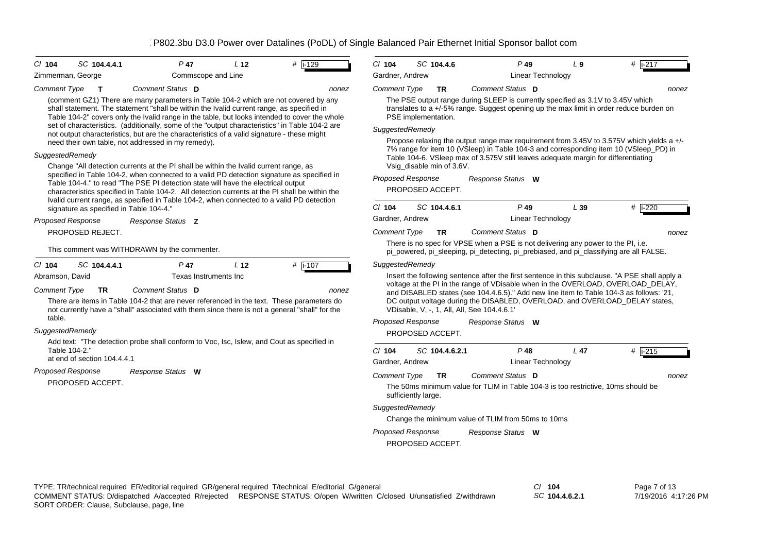| $Cl$ 104                 | SC 104.4.4.1                            | $P$ 47                                                                                                                                                                                                                                                                            | L <sub>12</sub> | # $\sqrt{1-129}$ | $Cl$ 104                 |                     | SC 104.4.6                | $P$ 49                                                                                                                                                                             | L <sub>9</sub>  | $#$ i-217 |
|--------------------------|-----------------------------------------|-----------------------------------------------------------------------------------------------------------------------------------------------------------------------------------------------------------------------------------------------------------------------------------|-----------------|------------------|--------------------------|---------------------|---------------------------|------------------------------------------------------------------------------------------------------------------------------------------------------------------------------------|-----------------|-----------|
| Zimmerman, George        |                                         | Commscope and Line                                                                                                                                                                                                                                                                |                 |                  | Gardner, Andrew          |                     |                           | <b>Linear Technology</b>                                                                                                                                                           |                 |           |
| <b>Comment Type</b>      | $\mathbf{T}$                            | Comment Status D                                                                                                                                                                                                                                                                  |                 | nonez            | <b>Comment Type</b>      |                     | <b>TR</b>                 | Comment Status D                                                                                                                                                                   |                 | none      |
|                          |                                         | (comment GZ1) There are many parameters in Table 104-2 which are not covered by any<br>shall statement. The statement "shall be within the Ivalid current range, as specified in<br>Table 104-2" covers only the Ivalid range in the table, but looks intended to cover the whole |                 |                  |                          | PSE implementation. |                           | The PSE output range during SLEEP is currently specified as 3.1V to 3.45V which<br>translates to a $+/-5\%$ range. Suggest opening up the max limit in order reduce burden on      |                 |           |
|                          |                                         | set of characteristics. (additionally, some of the "output characteristics" in Table 104-2 are<br>not output characteristics, but are the characteristics of a valid signature - these might                                                                                      |                 |                  | SuggestedRemedy          |                     |                           |                                                                                                                                                                                    |                 |           |
| SuggestedRemedy          |                                         | need their own table, not addressed in my remedy).                                                                                                                                                                                                                                |                 |                  |                          |                     |                           | Propose relaxing the output range max requirement from 3.45V to 3.575V which yields a +/-<br>7% range for item 10 (VSleep) in Table 104-3 and corresponding item 10 (VSleep_PD) in |                 |           |
|                          |                                         | Change "All detection currents at the PI shall be within the Ivalid current range, as                                                                                                                                                                                             |                 |                  |                          |                     | Vsig_disable min of 3.6V. | Table 104-6. VSleep max of 3.575V still leaves adequate margin for differentiating                                                                                                 |                 |           |
|                          |                                         | specified in Table 104-2, when connected to a valid PD detection signature as specified in<br>Table 104-4." to read "The PSE PI detection state will have the electrical output                                                                                                   |                 |                  | <b>Proposed Response</b> |                     | PROPOSED ACCEPT.          | Response Status W                                                                                                                                                                  |                 |           |
|                          | signature as specified in Table 104-4." | characteristics specified in Table 104-2. All detection currents at the PI shall be within the<br>Ivalid current range, as specified in Table 104-2, when connected to a valid PD detection                                                                                       |                 |                  | $CI$ 104                 |                     | SC 104.4.6.1              | $P$ 49                                                                                                                                                                             | L39             | # i-220   |
| Proposed Response        |                                         | Response Status Z                                                                                                                                                                                                                                                                 |                 |                  | Gardner, Andrew          |                     |                           | Linear Technology                                                                                                                                                                  |                 |           |
|                          | PROPOSED REJECT.                        |                                                                                                                                                                                                                                                                                   |                 |                  | <b>Comment Type</b>      |                     | <b>TR</b>                 | Comment Status D                                                                                                                                                                   |                 | none      |
|                          |                                         | This comment was WITHDRAWN by the commenter.                                                                                                                                                                                                                                      |                 |                  |                          |                     |                           | There is no spec for VPSE when a PSE is not delivering any power to the PI, i.e.<br>pi_powered, pi_sleeping, pi_detecting, pi_prebiased, and pi_classifying are all FALSE.         |                 |           |
| $CI$ 104                 | SC 104.4.4.1                            | $P$ 47                                                                                                                                                                                                                                                                            | L <sub>12</sub> | # $\sqrt{1-107}$ | SuggestedRemedy          |                     |                           |                                                                                                                                                                                    |                 |           |
| Abramson, David          |                                         | Texas Instruments Inc                                                                                                                                                                                                                                                             |                 |                  |                          |                     |                           | Insert the following sentence after the first sentence in this subclause. "A PSE shall apply a                                                                                     |                 |           |
| <b>Comment Type</b>      | <b>TR</b>                               | Comment Status D                                                                                                                                                                                                                                                                  |                 | nonez            |                          |                     |                           | voltage at the PI in the range of VDisable when in the OVERLOAD, OVERLOAD_DELAY,<br>and DISABLED states (see 104.4.6.5)." Add new line item to Table 104-3 as follows: '21,        |                 |           |
|                          |                                         | There are items in Table 104-2 that are never referenced in the text. These parameters do<br>not currently have a "shall" associated with them since there is not a general "shall" for the                                                                                       |                 |                  |                          |                     |                           | DC output voltage during the DISABLED, OVERLOAD, and OVERLOAD_DELAY states,<br>VDisable, V. -, 1, All, All, See 104.4.6.1'                                                         |                 |           |
| table.                   |                                         |                                                                                                                                                                                                                                                                                   |                 |                  | <b>Proposed Response</b> |                     |                           | Response Status W                                                                                                                                                                  |                 |           |
| SuggestedRemedy          |                                         |                                                                                                                                                                                                                                                                                   |                 |                  |                          |                     | PROPOSED ACCEPT.          |                                                                                                                                                                                    |                 |           |
| Table 104-2."            |                                         | Add text: "The detection probe shall conform to Voc, Isc, Islew, and Cout as specified in                                                                                                                                                                                         |                 |                  | $Cl$ 104                 |                     | SC 104.4.6.2.1            | $P$ 48                                                                                                                                                                             | L <sub>47</sub> | # i-215   |
|                          | at end of section 104.4.4.1             |                                                                                                                                                                                                                                                                                   |                 |                  | Gardner, Andrew          |                     |                           | <b>Linear Technology</b>                                                                                                                                                           |                 |           |
| <b>Proposed Response</b> |                                         | Response Status W                                                                                                                                                                                                                                                                 |                 |                  | <b>Comment Type</b>      |                     | <b>TR</b>                 | Comment Status D                                                                                                                                                                   |                 | none      |
|                          | PROPOSED ACCEPT.                        |                                                                                                                                                                                                                                                                                   |                 |                  |                          | sufficiently large. |                           | The 50ms minimum value for TLIM in Table 104-3 is too restrictive, 10ms should be                                                                                                  |                 |           |
|                          |                                         |                                                                                                                                                                                                                                                                                   |                 |                  | SuggestedRemedy          |                     |                           |                                                                                                                                                                                    |                 |           |
|                          |                                         |                                                                                                                                                                                                                                                                                   |                 |                  |                          |                     |                           | Change the minimum value of TLIM from 50ms to 10ms                                                                                                                                 |                 |           |
|                          |                                         |                                                                                                                                                                                                                                                                                   |                 |                  | Proposed Response        |                     |                           | Response Status W                                                                                                                                                                  |                 |           |

*SC* **104.4.6.2.1**

PROPOSED ACCEPT.

Page 7 of 13 7/19/2016 4:17:26 PM

*nonez*

*nonez*

*nonez*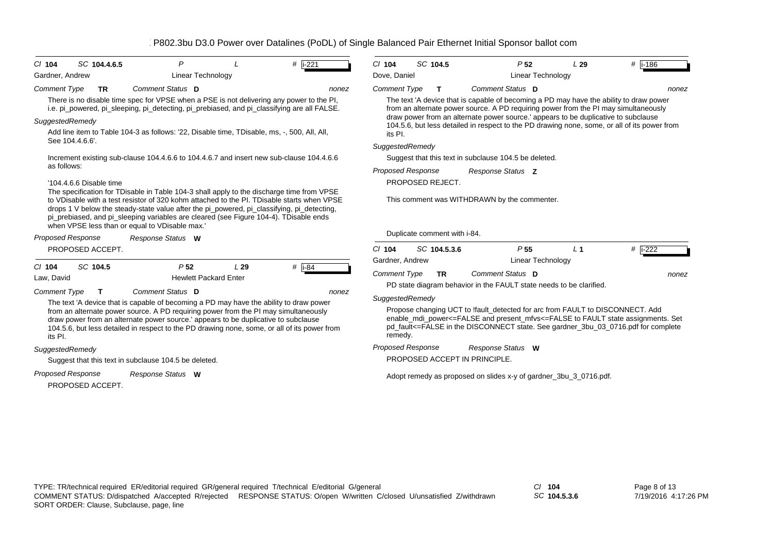| SC 104.4.6.5<br>$Cl$ 104                                                                                         | P                                                                                                                                                                                                                                                                                                                                                                                                                                                                                                                                                                                                                                                                                                                                                                                           |     | # $i - 221$ | $Cl$ 104                                                                                                                                                                                                                                                                                                                                                                                                                                                                                                                                                                                                                                 | SC 104.5                     | P <sub>52</sub>                                                                                                                                      | L29                      | #  i-186                                                                                                                                                             |  |  |
|------------------------------------------------------------------------------------------------------------------|---------------------------------------------------------------------------------------------------------------------------------------------------------------------------------------------------------------------------------------------------------------------------------------------------------------------------------------------------------------------------------------------------------------------------------------------------------------------------------------------------------------------------------------------------------------------------------------------------------------------------------------------------------------------------------------------------------------------------------------------------------------------------------------------|-----|-------------|------------------------------------------------------------------------------------------------------------------------------------------------------------------------------------------------------------------------------------------------------------------------------------------------------------------------------------------------------------------------------------------------------------------------------------------------------------------------------------------------------------------------------------------------------------------------------------------------------------------------------------------|------------------------------|------------------------------------------------------------------------------------------------------------------------------------------------------|--------------------------|----------------------------------------------------------------------------------------------------------------------------------------------------------------------|--|--|
| Gardner, Andrew                                                                                                  | Linear Technology                                                                                                                                                                                                                                                                                                                                                                                                                                                                                                                                                                                                                                                                                                                                                                           |     |             | Dove, Daniel                                                                                                                                                                                                                                                                                                                                                                                                                                                                                                                                                                                                                             |                              |                                                                                                                                                      | Linear Technology        |                                                                                                                                                                      |  |  |
| <b>Comment Type</b><br><b>TR</b><br>SuggestedRemedy<br>See 104.4.6.6'.<br>as follows:<br>'104.4.6.6 Disable time | Comment Status D<br>There is no disable time spec for VPSE when a PSE is not delivering any power to the PI,<br>i.e. pi_powered, pi_sleeping, pi_detecting, pi_prebiased, and pi_classifying are all FALSE.<br>Add line item to Table 104-3 as follows: '22, Disable time, TDisable, ms, -, 500, All, All,<br>Increment existing sub-clause 104.4.6.6 to 104.4.6.7 and insert new sub-clause 104.4.6.6<br>The specification for TDisable in Table 104-3 shall apply to the discharge time from VPSE<br>to VDisable with a test resistor of 320 kohm attached to the PI. TDisable starts when VPSE<br>drops 1 V below the steady-state value after the pig powered, pig classifying, pig detecting,<br>pi_prebiased, and pi_sleeping variables are cleared (see Figure 104-4). TDisable ends |     | nonez       | Comment Status D<br><b>Comment Type</b><br>т<br>nonez<br>The text 'A device that is capable of becoming a PD may have the ability to draw power<br>from an alternate power source. A PD requiring power from the PI may simultaneously<br>draw power from an alternate power source.' appears to be duplicative to subclause<br>104.5.6, but less detailed in respect to the PD drawing none, some, or all of its power from<br>its PI.<br>SuggestedRemedy<br>Suggest that this text in subclause 104.5 be deleted.<br><b>Proposed Response</b><br>Response Status Z<br>PROPOSED REJECT.<br>This comment was WITHDRAWN by the commenter. |                              |                                                                                                                                                      |                          |                                                                                                                                                                      |  |  |
| when VPSE less than or equal to VDisable max."<br>Proposed Response                                              | Response Status W                                                                                                                                                                                                                                                                                                                                                                                                                                                                                                                                                                                                                                                                                                                                                                           |     |             |                                                                                                                                                                                                                                                                                                                                                                                                                                                                                                                                                                                                                                          | Duplicate comment with i-84. |                                                                                                                                                      |                          |                                                                                                                                                                      |  |  |
| PROPOSED ACCEPT.                                                                                                 |                                                                                                                                                                                                                                                                                                                                                                                                                                                                                                                                                                                                                                                                                                                                                                                             |     |             | $Cl$ 104                                                                                                                                                                                                                                                                                                                                                                                                                                                                                                                                                                                                                                 | SC 104.5.3.6                 | P <sub>55</sub>                                                                                                                                      | L <sub>1</sub>           | # i-222                                                                                                                                                              |  |  |
| SC 104.5<br>$Cl$ 104<br>Law, David                                                                               | P <sub>52</sub><br><b>Hewlett Packard Enter</b>                                                                                                                                                                                                                                                                                                                                                                                                                                                                                                                                                                                                                                                                                                                                             | L29 | $#$ i-84    | Gardner, Andrew<br><b>Comment Type</b>                                                                                                                                                                                                                                                                                                                                                                                                                                                                                                                                                                                                   | <b>TR</b>                    | Comment Status D                                                                                                                                     | <b>Linear Technology</b> | nonez                                                                                                                                                                |  |  |
| <b>Comment Type</b><br>its PI.                                                                                   | Comment Status D<br>The text 'A device that is capable of becoming a PD may have the ability to draw power<br>from an alternate power source. A PD requiring power from the PI may simultaneously<br>draw power from an alternate power source.' appears to be duplicative to subclause<br>104.5.6, but less detailed in respect to the PD drawing none, some, or all of its power from                                                                                                                                                                                                                                                                                                                                                                                                     |     | nonez       | SuggestedRemedy<br>remedy.                                                                                                                                                                                                                                                                                                                                                                                                                                                                                                                                                                                                               |                              | PD state diagram behavior in the FAULT state needs to be clarified.<br>Propose changing UCT to Ifault_detected for arc from FAULT to DISCONNECT. Add |                          | enable mdi power<=FALSE and present mfvs<=FALSE to FAULT state assignments. Set<br>pd fault<=FALSE in the DISCONNECT state. See gardner 3bu 03 0716.pdf for complete |  |  |
| SuggestedRemedy                                                                                                  | Suggest that this text in subclause 104.5 be deleted.                                                                                                                                                                                                                                                                                                                                                                                                                                                                                                                                                                                                                                                                                                                                       |     |             | <b>Proposed Response</b>                                                                                                                                                                                                                                                                                                                                                                                                                                                                                                                                                                                                                 |                              | Response Status W<br>PROPOSED ACCEPT IN PRINCIPLE.                                                                                                   |                          |                                                                                                                                                                      |  |  |
| <b>Proposed Response</b><br>PROPOSED ACCEPT.                                                                     | Response Status W                                                                                                                                                                                                                                                                                                                                                                                                                                                                                                                                                                                                                                                                                                                                                                           |     |             |                                                                                                                                                                                                                                                                                                                                                                                                                                                                                                                                                                                                                                          |                              | Adopt remedy as proposed on slides x-y of gardner_3bu_3_0716.pdf.                                                                                    |                          |                                                                                                                                                                      |  |  |

*SC* **104.5.3.6**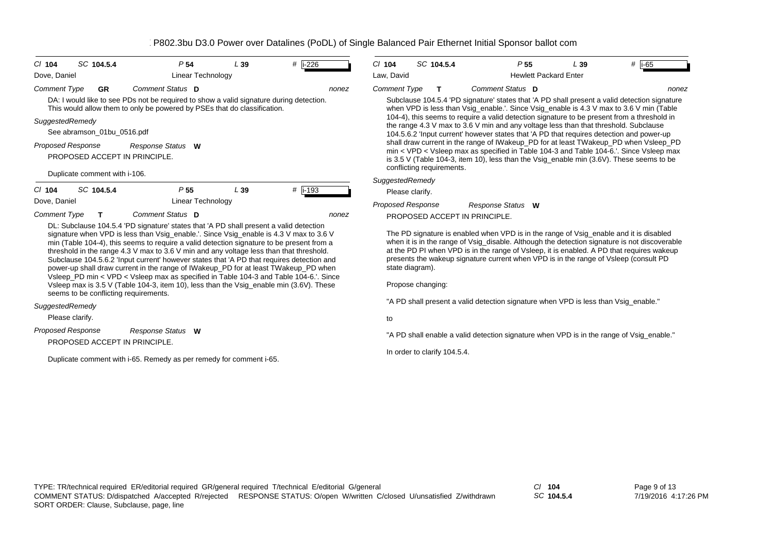| $CI$ 104            | SC 104.5.4                    |                                       | P <sub>54</sub>                                                                        | L39 | #   i-226                                                                                                                                                                                                                                                                                                                                                                                                                                                                                                                                                                                                                                            | $CI$ 104                             | SC 104.5.4                   | P <sub>55</sub>                                                                                |                              | L39 | # $\vert$ i-65                                                                                                                                                                                                                                                                                                                                                                |
|---------------------|-------------------------------|---------------------------------------|----------------------------------------------------------------------------------------|-----|------------------------------------------------------------------------------------------------------------------------------------------------------------------------------------------------------------------------------------------------------------------------------------------------------------------------------------------------------------------------------------------------------------------------------------------------------------------------------------------------------------------------------------------------------------------------------------------------------------------------------------------------------|--------------------------------------|------------------------------|------------------------------------------------------------------------------------------------|------------------------------|-----|-------------------------------------------------------------------------------------------------------------------------------------------------------------------------------------------------------------------------------------------------------------------------------------------------------------------------------------------------------------------------------|
| Dove, Daniel        |                               |                                       | <b>Linear Technology</b>                                                               |     |                                                                                                                                                                                                                                                                                                                                                                                                                                                                                                                                                                                                                                                      | Law, David                           |                              |                                                                                                | <b>Hewlett Packard Enter</b> |     |                                                                                                                                                                                                                                                                                                                                                                               |
| <b>Comment Type</b> | <b>GR</b>                     |                                       | Comment Status D                                                                       |     | nonez                                                                                                                                                                                                                                                                                                                                                                                                                                                                                                                                                                                                                                                | Comment Type                         | $\mathbf T$                  | Comment Status D                                                                               |                              |     | nonez                                                                                                                                                                                                                                                                                                                                                                         |
|                     |                               |                                       | This would allow them to only be powered by PSEs that do classification.               |     | DA: I would like to see PDs not be required to show a valid signature during detection.                                                                                                                                                                                                                                                                                                                                                                                                                                                                                                                                                              |                                      |                              |                                                                                                |                              |     | Subclause 104.5.4 'PD signature' states that 'A PD shall present a valid detection signature<br>when VPD is less than Vsig_enable.'. Since Vsig_enable is 4.3 V max to 3.6 V min (Table                                                                                                                                                                                       |
|                     | SuggestedRemedy               |                                       |                                                                                        |     |                                                                                                                                                                                                                                                                                                                                                                                                                                                                                                                                                                                                                                                      |                                      |                              | the range 4.3 $\vee$ max to 3.6 $\vee$ min and any voltage less than that threshold. Subclause |                              |     | 104-4), this seems to require a valid detection signature to be present from a threshold in                                                                                                                                                                                                                                                                                   |
|                     | See abramson_01bu_0516.pdf    |                                       |                                                                                        |     |                                                                                                                                                                                                                                                                                                                                                                                                                                                                                                                                                                                                                                                      |                                      |                              |                                                                                                |                              |     | 104.5.6.2 'Input current' however states that 'A PD that requires detection and power-up                                                                                                                                                                                                                                                                                      |
|                     | <b>Proposed Response</b>      | PROPOSED ACCEPT IN PRINCIPLE.         | Response Status W                                                                      |     |                                                                                                                                                                                                                                                                                                                                                                                                                                                                                                                                                                                                                                                      |                                      | conflicting requirements.    |                                                                                                |                              |     | shall draw current in the range of IWakeup_PD for at least TWakeup_PD when Vsleep_PD<br>min < VPD < Vsleep max as specified in Table 104-3 and Table 104-6.'. Since Vsleep max<br>is 3.5 V (Table 104-3, item 10), less than the Vsig_enable min $(3.6V)$ . These seems to be                                                                                                 |
|                     | Duplicate comment with i-106. |                                       |                                                                                        |     |                                                                                                                                                                                                                                                                                                                                                                                                                                                                                                                                                                                                                                                      | SuggestedRemedy                      |                              |                                                                                                |                              |     |                                                                                                                                                                                                                                                                                                                                                                               |
| $Cl$ 104            | SC 104.5.4                    |                                       | P <sub>55</sub>                                                                        | L39 | $\#$ i-193                                                                                                                                                                                                                                                                                                                                                                                                                                                                                                                                                                                                                                           | Please clarify.                      |                              |                                                                                                |                              |     |                                                                                                                                                                                                                                                                                                                                                                               |
| Dove, Daniel        |                               |                                       | <b>Linear Technology</b>                                                               |     |                                                                                                                                                                                                                                                                                                                                                                                                                                                                                                                                                                                                                                                      | <b>Proposed Response</b>             |                              | Response Status W                                                                              |                              |     |                                                                                                                                                                                                                                                                                                                                                                               |
| <b>Comment Type</b> | T.                            |                                       | Comment Status D                                                                       |     | nonez                                                                                                                                                                                                                                                                                                                                                                                                                                                                                                                                                                                                                                                |                                      |                              | PROPOSED ACCEPT IN PRINCIPLE.                                                                  |                              |     |                                                                                                                                                                                                                                                                                                                                                                               |
|                     |                               |                                       | DL: Subclause 104.5.4 'PD signature' states that 'A PD shall present a valid detection |     | signature when VPD is less than Vsig_enable.'. Since Vsig_enable is 4.3 V max to 3.6 V<br>min (Table 104-4), this seems to require a valid detection signature to be present from a<br>threshold in the range 4.3 V max to 3.6 V min and any voltage less than that threshold.<br>Subclause 104.5.6.2 'Input current' however states that 'A PD that requires detection and<br>power-up shall draw current in the range of IWakeup_PD for at least TWakeup_PD when<br>Vsleep PD min < VPD < Vsleep max as specified in Table 104-3 and Table 104-6. Since<br>Vsleep max is 3.5 V (Table 104-3, item 10), less than the Vsig_enable min (3.6V). These | state diagram).<br>Propose changing: |                              |                                                                                                |                              |     | The PD signature is enabled when VPD is in the range of Vsig_enable and it is disabled<br>when it is in the range of Vsig_disable. Although the detection signature is not discoverable<br>at the PD PI when VPD is in the range of Vsleep, it is enabled. A PD that requires wakeup<br>presents the wakeup signature current when VPD is in the range of Vsleep (consult PD) |
|                     |                               | seems to be conflicting requirements. |                                                                                        |     |                                                                                                                                                                                                                                                                                                                                                                                                                                                                                                                                                                                                                                                      |                                      |                              |                                                                                                |                              |     |                                                                                                                                                                                                                                                                                                                                                                               |
|                     | SuggestedRemedy               |                                       |                                                                                        |     |                                                                                                                                                                                                                                                                                                                                                                                                                                                                                                                                                                                                                                                      |                                      |                              | "A PD shall present a valid detection signature when VPD is less than Vsig_enable."            |                              |     |                                                                                                                                                                                                                                                                                                                                                                               |
|                     | Please clarify.               |                                       |                                                                                        |     |                                                                                                                                                                                                                                                                                                                                                                                                                                                                                                                                                                                                                                                      | to                                   |                              |                                                                                                |                              |     |                                                                                                                                                                                                                                                                                                                                                                               |
|                     | <b>Proposed Response</b>      | PROPOSED ACCEPT IN PRINCIPLE.         | Response Status W                                                                      |     |                                                                                                                                                                                                                                                                                                                                                                                                                                                                                                                                                                                                                                                      |                                      |                              |                                                                                                |                              |     | "A PD shall enable a valid detection signature when VPD is in the range of Vsig_enable."                                                                                                                                                                                                                                                                                      |
|                     |                               |                                       | Duplicate comment with i-65. Remedy as per remedy for comment i-65.                    |     |                                                                                                                                                                                                                                                                                                                                                                                                                                                                                                                                                                                                                                                      |                                      | In order to clarify 104.5.4. |                                                                                                |                              |     |                                                                                                                                                                                                                                                                                                                                                                               |

*SC* **104.5.4**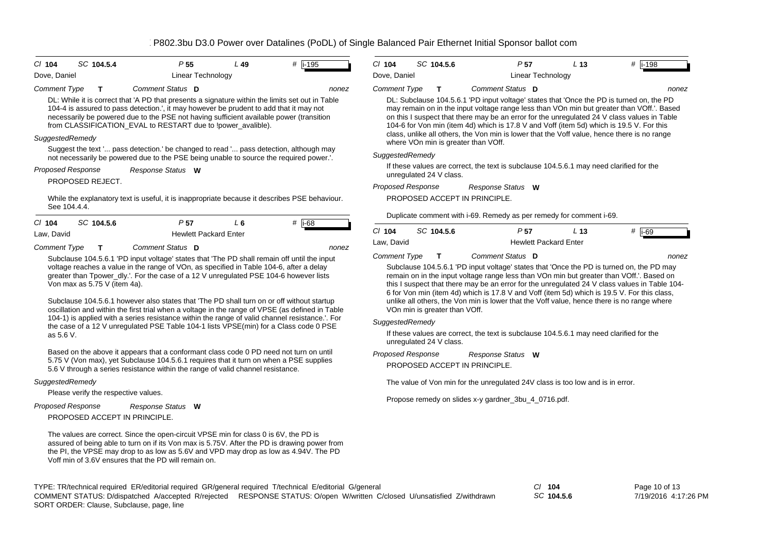| $CI$ 104                 | SC 104.5.4                   | P <sub>55</sub>                                                                                                                                                                                                                                                                                                                                                                  | $L$ 49         | #  i-195 | $Cl$ 104                 | SC 104.5.6                    | P <sub>57</sub>                                                                                                                                                                                                                                                                                                                                                                                                                                                                    | L <sub>13</sub> | # $\overline{$ i-198 |
|--------------------------|------------------------------|----------------------------------------------------------------------------------------------------------------------------------------------------------------------------------------------------------------------------------------------------------------------------------------------------------------------------------------------------------------------------------|----------------|----------|--------------------------|-------------------------------|------------------------------------------------------------------------------------------------------------------------------------------------------------------------------------------------------------------------------------------------------------------------------------------------------------------------------------------------------------------------------------------------------------------------------------------------------------------------------------|-----------------|----------------------|
| Dove, Daniel             |                              | Linear Technology                                                                                                                                                                                                                                                                                                                                                                |                |          | Dove, Daniel             |                               | <b>Linear Technology</b>                                                                                                                                                                                                                                                                                                                                                                                                                                                           |                 |                      |
| <b>Comment Type</b>      | т                            | Comment Status D                                                                                                                                                                                                                                                                                                                                                                 |                | nonez    | <b>Comment Type</b>      | T.                            | Comment Status D                                                                                                                                                                                                                                                                                                                                                                                                                                                                   |                 | nonez                |
|                          |                              | DL: While it is correct that 'A PD that presents a signature within the limits set out in Table<br>104-4 is assured to pass detection.', it may however be prudent to add that it may not<br>necessarily be powered due to the PSE not having sufficient available power (transition<br>from CLASSIFICATION_EVAL to RESTART due to !power_avalible).                             |                |          |                          |                               | DL: Subclause 104.5.6.1 'PD input voltage' states that 'Once the PD is turned on, the PD<br>may remain on in the input voltage range less than VOn min but greater than VOff.'. Based<br>on this I suspect that there may be an error for the unregulated 24 V class values in Table<br>104-6 for Von min (item 4d) which is 17.8 V and Voff (item 5d) which is 19.5 V. For this<br>class, unlike all others, the Von min is lower that the Voff value, hence there is no range    |                 |                      |
| SuggestedRemedy          |                              |                                                                                                                                                                                                                                                                                                                                                                                  |                |          |                          |                               | where VOn min is greater than VOff.                                                                                                                                                                                                                                                                                                                                                                                                                                                |                 |                      |
|                          |                              | Suggest the text ' pass detection.' be changed to read ' pass detection, although may<br>not necessarily be powered due to the PSE being unable to source the required power.'.                                                                                                                                                                                                  |                |          | SuggestedRemedy          |                               |                                                                                                                                                                                                                                                                                                                                                                                                                                                                                    |                 |                      |
| <b>Proposed Response</b> |                              | Response Status W                                                                                                                                                                                                                                                                                                                                                                |                |          |                          | unregulated 24 V class.       | If these values are correct, the text is subclause 104.5.6.1 may need clarified for the                                                                                                                                                                                                                                                                                                                                                                                            |                 |                      |
|                          | PROPOSED REJECT.             |                                                                                                                                                                                                                                                                                                                                                                                  |                |          | <b>Proposed Response</b> |                               | Response Status W                                                                                                                                                                                                                                                                                                                                                                                                                                                                  |                 |                      |
| See 104.4.4.             |                              | While the explanatory text is useful, it is inappropriate because it describes PSE behaviour.                                                                                                                                                                                                                                                                                    |                |          |                          |                               | PROPOSED ACCEPT IN PRINCIPLE.                                                                                                                                                                                                                                                                                                                                                                                                                                                      |                 |                      |
| $Cl$ 104                 | SC 104.5.6                   | P <sub>57</sub>                                                                                                                                                                                                                                                                                                                                                                  | L <sub>6</sub> | $#$ i-68 |                          |                               | Duplicate comment with i-69. Remedy as per remedy for comment i-69.                                                                                                                                                                                                                                                                                                                                                                                                                |                 |                      |
| Law, David               |                              | <b>Hewlett Packard Enter</b>                                                                                                                                                                                                                                                                                                                                                     |                |          | $CI$ 104                 | SC 104.5.6                    | P <sub>57</sub>                                                                                                                                                                                                                                                                                                                                                                                                                                                                    | L <sub>13</sub> | # $\overline{1}$ -69 |
| <b>Comment Type</b>      | T                            | Comment Status D                                                                                                                                                                                                                                                                                                                                                                 |                | nonez    | Law, David               |                               | <b>Hewlett Packard Enter</b>                                                                                                                                                                                                                                                                                                                                                                                                                                                       |                 |                      |
|                          |                              | Subclause 104.5.6.1 'PD input voltage' states that 'The PD shall remain off until the input                                                                                                                                                                                                                                                                                      |                |          | <b>Comment Type</b>      | T                             | Comment Status D                                                                                                                                                                                                                                                                                                                                                                                                                                                                   |                 | nonez                |
|                          | Von max as 5.75 V (item 4a). | voltage reaches a value in the range of VOn, as specified in Table 104-6, after a delay<br>greater than Tpower_dly.'. For the case of a 12 V unregulated PSE 104-6 however lists<br>Subclause 104.5.6.1 however also states that 'The PD shall turn on or off without startup<br>oscillation and within the first trial when a voltage in the range of VPSE (as defined in Table |                |          |                          | VOn min is greater than VOff. | Subclause 104.5.6.1 'PD input voltage' states that 'Once the PD is turned on, the PD may<br>remain on in the input voltage range less than VOn min but greater than VOff.'. Based on<br>this I suspect that there may be an error for the unregulated 24 V class values in Table 104-<br>6 for Von min (item 4d) which is 17.8 V and Voff (item 5d) which is 19.5 V. For this class,<br>unlike all others, the Von min is lower that the Voff value, hence there is no range where |                 |                      |
|                          |                              | 104-1) is applied with a series resistance within the range of valid channel resistance.'. For<br>the case of a 12 V unregulated PSE Table 104-1 lists VPSE(min) for a Class code 0 PSE                                                                                                                                                                                          |                |          | SuggestedRemedy          |                               |                                                                                                                                                                                                                                                                                                                                                                                                                                                                                    |                 |                      |
| as 5.6 V.                |                              |                                                                                                                                                                                                                                                                                                                                                                                  |                |          |                          | unregulated 24 V class.       | If these values are correct, the text is subclause 104.5.6.1 may need clarified for the                                                                                                                                                                                                                                                                                                                                                                                            |                 |                      |
|                          |                              | Based on the above it appears that a conformant class code 0 PD need not turn on until<br>5.75 V (Von max), yet Subclause 104.5.6.1 requires that it turn on when a PSE supplies<br>5.6 V through a series resistance within the range of valid channel resistance.                                                                                                              |                |          | <b>Proposed Response</b> |                               | Response Status W<br>PROPOSED ACCEPT IN PRINCIPLE.                                                                                                                                                                                                                                                                                                                                                                                                                                 |                 |                      |
| SuggestedRemedy          |                              |                                                                                                                                                                                                                                                                                                                                                                                  |                |          |                          |                               | The value of Von min for the unregulated 24V class is too low and is in error.                                                                                                                                                                                                                                                                                                                                                                                                     |                 |                      |

Please verify the respective values.

PROPOSED ACCEPT IN PRINCIPLE. *Response Status* **W** *Proposed Response*

The values are correct. Since the open-circuit VPSE min for class 0 is 6V, the PD is assured of being able to turn on if its Von max is 5.75V. After the PD is drawing power from the PI, the VPSE may drop to as low as 5.6V and VPD may drop as low as 4.94V. The PD Voff min of 3.6V ensures that the PD will remain on.

Propose remedy on slides x-y gardner\_3bu\_4\_0716.pdf.

TYPE: TR/technical required ER/editorial required GR/general required T/technical E/editorial G/general *Cl* **104** SORT ORDER: Clause, Subclause, page, line COMMENT STATUS: D/dispatched A/accepted R/rejected RESPONSE STATUS: O/open W/written C/closed U/unsatisfied Z/withdrawn

*SC* **104.5.6**

Page 10 of 13 7/19/2016 4:17:26 PM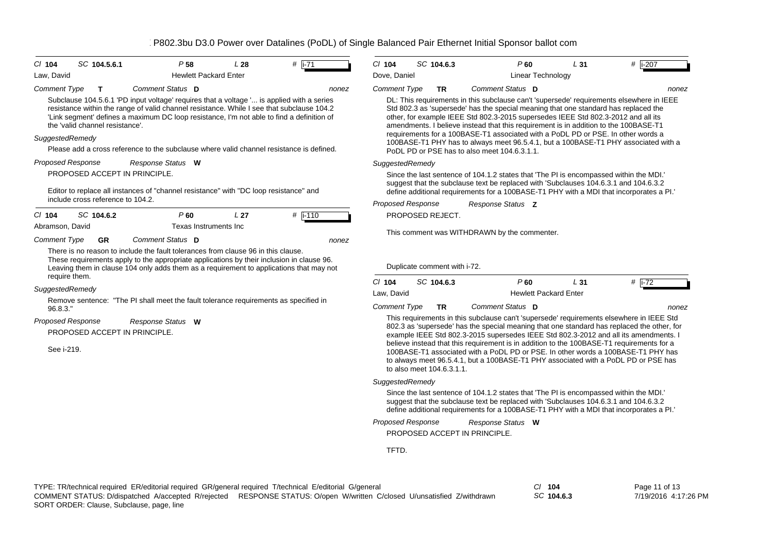| $CI$ 104                 | SC 104.5.6.1                      | P 58                                                                                                                                                                                                                                                                                | L28             | # $\overline{1}$ -71 | $Cl$ 104                 | SC 104.6.3                                 | P60                                                                                                                                                                                                                                                                                                                                                                                                                                                                                                                                    | L31 | $#$ i-207 |
|--------------------------|-----------------------------------|-------------------------------------------------------------------------------------------------------------------------------------------------------------------------------------------------------------------------------------------------------------------------------------|-----------------|----------------------|--------------------------|--------------------------------------------|----------------------------------------------------------------------------------------------------------------------------------------------------------------------------------------------------------------------------------------------------------------------------------------------------------------------------------------------------------------------------------------------------------------------------------------------------------------------------------------------------------------------------------------|-----|-----------|
| Law, David               |                                   | <b>Hewlett Packard Enter</b>                                                                                                                                                                                                                                                        |                 |                      | Dove, Daniel             |                                            | <b>Linear Technology</b>                                                                                                                                                                                                                                                                                                                                                                                                                                                                                                               |     |           |
| <b>Comment Type</b>      | $\mathbf{T}$                      | Comment Status D                                                                                                                                                                                                                                                                    |                 | nonez                | <b>Comment Type</b>      | TR.                                        | Comment Status D                                                                                                                                                                                                                                                                                                                                                                                                                                                                                                                       |     | nonez     |
| SuggestedRemedy          | the 'valid channel resistance'.   | Subclause 104.5.6.1 'PD input voltage' requires that a voltage ' is applied with a series<br>resistance within the range of valid channel resistance. While I see that subclause 104.2<br>'Link segment' defines a maximum DC loop resistance, I'm not able to find a definition of |                 |                      |                          |                                            | DL: This requirements in this subclause can't 'supersede' requirements elsewhere in IEEE<br>Std 802.3 as 'supersede' has the special meaning that one standard has replaced the<br>other, for example IEEE Std 802.3-2015 supersedes IEEE Std 802.3-2012 and all its<br>amendments. I believe instead that this requirement is in addition to the 100BASE-T1<br>requirements for a 100BASE-T1 associated with a PoDL PD or PSE. In other words a<br>100BASE-T1 PHY has to always meet 96.5.4.1, but a 100BASE-T1 PHY associated with a |     |           |
|                          |                                   | Please add a cross reference to the subclause where valid channel resistance is defined.                                                                                                                                                                                            |                 |                      |                          |                                            | PoDL PD or PSE has to also meet 104.6.3.1.1.                                                                                                                                                                                                                                                                                                                                                                                                                                                                                           |     |           |
| <b>Proposed Response</b> |                                   | Response Status W                                                                                                                                                                                                                                                                   |                 |                      | SuggestedRemedy          |                                            |                                                                                                                                                                                                                                                                                                                                                                                                                                                                                                                                        |     |           |
|                          | PROPOSED ACCEPT IN PRINCIPLE.     |                                                                                                                                                                                                                                                                                     |                 |                      |                          |                                            | Since the last sentence of 104.1.2 states that 'The PI is encompassed within the MDI.'                                                                                                                                                                                                                                                                                                                                                                                                                                                 |     |           |
|                          |                                   | Editor to replace all instances of "channel resistance" with "DC loop resistance" and                                                                                                                                                                                               |                 |                      |                          |                                            | suggest that the subclause text be replaced with 'Subclauses 104.6.3.1 and 104.6.3.2<br>define additional requirements for a 100BASE-T1 PHY with a MDI that incorporates a PI.                                                                                                                                                                                                                                                                                                                                                         |     |           |
|                          | include cross reference to 104.2. |                                                                                                                                                                                                                                                                                     |                 |                      | <b>Proposed Response</b> |                                            | Response Status Z                                                                                                                                                                                                                                                                                                                                                                                                                                                                                                                      |     |           |
| $CI$ 104                 | SC 104.6.2                        | P60                                                                                                                                                                                                                                                                                 | L <sub>27</sub> | $#$ i-110            |                          | PROPOSED REJECT.                           |                                                                                                                                                                                                                                                                                                                                                                                                                                                                                                                                        |     |           |
| Abramson, David          |                                   | Texas Instruments Inc                                                                                                                                                                                                                                                               |                 |                      |                          |                                            | This comment was WITHDRAWN by the commenter.                                                                                                                                                                                                                                                                                                                                                                                                                                                                                           |     |           |
| <b>Comment Type</b>      | <b>GR</b>                         | Comment Status D                                                                                                                                                                                                                                                                    |                 | nonez                |                          |                                            |                                                                                                                                                                                                                                                                                                                                                                                                                                                                                                                                        |     |           |
| require them.            |                                   | There is no reason to include the fault tolerances from clause 96 in this clause.<br>These requirements apply to the appropriate applications by their inclusion in clause 96.<br>Leaving them in clause 104 only adds them as a requirement to applications that may not           |                 |                      | $Cl$ 104                 | Duplicate comment with i-72.<br>SC 104.6.3 | $P$ 60                                                                                                                                                                                                                                                                                                                                                                                                                                                                                                                                 | L31 | $#$ i-72  |
| SuggestedRemedy          |                                   |                                                                                                                                                                                                                                                                                     |                 |                      | Law. David               |                                            | <b>Hewlett Packard Enter</b>                                                                                                                                                                                                                                                                                                                                                                                                                                                                                                           |     |           |
| 96.8.3."                 |                                   | Remove sentence: "The PI shall meet the fault tolerance requirements as specified in                                                                                                                                                                                                |                 |                      | <b>Comment Type</b>      | <b>TR</b>                                  | Comment Status D                                                                                                                                                                                                                                                                                                                                                                                                                                                                                                                       |     | nonez     |
| <b>Proposed Response</b> | PROPOSED ACCEPT IN PRINCIPLE.     | Response Status W                                                                                                                                                                                                                                                                   |                 |                      |                          |                                            | This requirements in this subclause can't 'supersede' requirements elsewhere in IEEE Std<br>802.3 as 'supersede' has the special meaning that one standard has replaced the other, for<br>example IEEE Std 802.3-2015 supersedes IEEE Std 802.3-2012 and all its amendments. I                                                                                                                                                                                                                                                         |     |           |
| See i-219.               |                                   |                                                                                                                                                                                                                                                                                     |                 |                      |                          | to also meet 104.6.3.1.1.                  | believe instead that this requirement is in addition to the 100BASE-T1 requirements for a<br>100BASE-T1 associated with a PoDL PD or PSE. In other words a 100BASE-T1 PHY has<br>to always meet 96.5.4.1, but a 100BASE-T1 PHY associated with a PoDL PD or PSE has                                                                                                                                                                                                                                                                    |     |           |
|                          |                                   |                                                                                                                                                                                                                                                                                     |                 |                      | SuggestedRemedy          |                                            |                                                                                                                                                                                                                                                                                                                                                                                                                                                                                                                                        |     |           |
|                          |                                   |                                                                                                                                                                                                                                                                                     |                 |                      |                          |                                            | Since the last sentence of 104.1.2 states that 'The PI is encompassed within the MDI.'<br>suggest that the subclause text be replaced with 'Subclauses 104.6.3.1 and 104.6.3.2<br>define additional requirements for a 100BASE-T1 PHY with a MDI that incorporates a PI.'                                                                                                                                                                                                                                                              |     |           |
|                          |                                   |                                                                                                                                                                                                                                                                                     |                 |                      | Proposed Response        |                                            | Response Status W                                                                                                                                                                                                                                                                                                                                                                                                                                                                                                                      |     |           |
|                          |                                   |                                                                                                                                                                                                                                                                                     |                 |                      |                          |                                            | PROPOSED ACCEPT IN PRINCIPLE.                                                                                                                                                                                                                                                                                                                                                                                                                                                                                                          |     |           |
|                          |                                   |                                                                                                                                                                                                                                                                                     |                 |                      | TFTD.                    |                                            |                                                                                                                                                                                                                                                                                                                                                                                                                                                                                                                                        |     |           |

*SC* **104.6.3**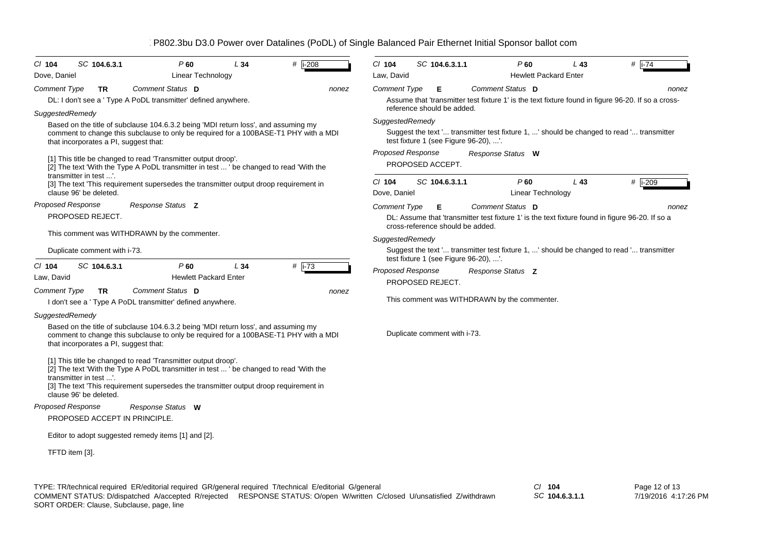| SC 104.6.3.1<br>$CI$ 104                                 | P <sub>60</sub><br>L34                                                                                                                                                                                                                                                                                                                | #<br>$i-208$         | $CI$ 104                                    | SC 104.6.3.1.1                                            | P60                                                                                                           | L43                          | # $\sqrt{1-74}$ |
|----------------------------------------------------------|---------------------------------------------------------------------------------------------------------------------------------------------------------------------------------------------------------------------------------------------------------------------------------------------------------------------------------------|----------------------|---------------------------------------------|-----------------------------------------------------------|---------------------------------------------------------------------------------------------------------------|------------------------------|-----------------|
| Dove, Daniel                                             | Linear Technology                                                                                                                                                                                                                                                                                                                     |                      | Law, David                                  |                                                           |                                                                                                               | <b>Hewlett Packard Enter</b> |                 |
| <b>Comment Type</b><br><b>TR</b>                         | Comment Status D                                                                                                                                                                                                                                                                                                                      | nonez                | <b>Comment Type</b>                         | Е                                                         | Comment Status D                                                                                              |                              | nonez           |
|                                                          | DL: I don't see a ' Type A PoDL transmitter' defined anywhere.                                                                                                                                                                                                                                                                        |                      |                                             | reference should be added.                                | Assume that 'transmitter test fixture 1' is the text fixture found in figure 96-20. If so a cross-            |                              |                 |
| SuggestedRemedy<br>that incorporates a PI, suggest that: | Based on the title of subclause 104.6.3.2 being 'MDI return loss', and assuming my<br>comment to change this subclause to only be required for a 100BASE-T1 PHY with a MDI<br>[1] This title be changed to read 'Transmitter output droop'.<br>[2] The text 'With the Type A PoDL transmitter in test  ' be changed to read 'With the |                      | SuggestedRemedy<br><b>Proposed Response</b> | test fixture 1 (see Figure 96-20), '.<br>PROPOSED ACCEPT. | Suggest the text ' transmitter test fixture 1, ' should be changed to read ' transmitter<br>Response Status W |                              |                 |
| transmitter in test '.                                   |                                                                                                                                                                                                                                                                                                                                       |                      |                                             |                                                           |                                                                                                               |                              |                 |
| clause 96' be deleted.                                   | [3] The text 'This requirement supersedes the transmitter output droop requirement in                                                                                                                                                                                                                                                 |                      | $Cl$ 104<br>Dove, Daniel                    | SC 104.6.3.1.1                                            | P60<br>Linear Technology                                                                                      | L43                          | # i-209         |
| <b>Proposed Response</b>                                 | Response Status Z                                                                                                                                                                                                                                                                                                                     |                      | <b>Comment Type</b>                         | Е                                                         | Comment Status D                                                                                              |                              | nonez           |
| PROPOSED REJECT.                                         |                                                                                                                                                                                                                                                                                                                                       |                      |                                             | cross-reference should be added.                          | DL: Assume that 'transmitter test fixture 1' is the text fixture found in figure 96-20. If so a               |                              |                 |
| This comment was WITHDRAWN by the commenter.             |                                                                                                                                                                                                                                                                                                                                       |                      | SuggestedRemedy                             |                                                           |                                                                                                               |                              |                 |
| Duplicate comment with i-73.                             |                                                                                                                                                                                                                                                                                                                                       |                      |                                             | test fixture 1 (see Figure 96-20), '.                     | Suggest the text ' transmitter test fixture 1, ' should be changed to read ' transmitter                      |                              |                 |
| SC 104.6.3.1<br>$Cl$ 104<br>Law, David                   | P <sub>60</sub><br>L34<br><b>Hewlett Packard Enter</b>                                                                                                                                                                                                                                                                                | # $\overline{1}$ -73 | <b>Proposed Response</b>                    | PROPOSED REJECT.                                          | Response Status Z                                                                                             |                              |                 |
| <b>Comment Type</b><br>TR                                | Comment Status D<br>I don't see a ' Type A PoDL transmitter' defined anywhere.                                                                                                                                                                                                                                                        | nonez                |                                             |                                                           | This comment was WITHDRAWN by the commenter.                                                                  |                              |                 |
| SuggestedRemedy                                          |                                                                                                                                                                                                                                                                                                                                       |                      |                                             |                                                           |                                                                                                               |                              |                 |
| that incorporates a PI, suggest that:                    | Based on the title of subclause 104.6.3.2 being 'MDI return loss', and assuming my<br>comment to change this subclause to only be required for a 100BASE-T1 PHY with a MDI                                                                                                                                                            |                      |                                             | Duplicate comment with i-73.                              |                                                                                                               |                              |                 |
| transmitter in test '.<br>clause 96' be deleted.         | [1] This title be changed to read 'Transmitter output droop'.<br>[2] The text 'With the Type A PoDL transmitter in test  ' be changed to read 'With the<br>[3] The text 'This requirement supersedes the transmitter output droop requirement in                                                                                      |                      |                                             |                                                           |                                                                                                               |                              |                 |
| Proposed Response<br>PROPOSED ACCEPT IN PRINCIPLE.       | Response Status W                                                                                                                                                                                                                                                                                                                     |                      |                                             |                                                           |                                                                                                               |                              |                 |
|                                                          |                                                                                                                                                                                                                                                                                                                                       |                      |                                             |                                                           |                                                                                                               |                              |                 |
| Editor to adopt suggested remedy items [1] and [2].      |                                                                                                                                                                                                                                                                                                                                       |                      |                                             |                                                           |                                                                                                               |                              |                 |
| TFTD item [3].                                           |                                                                                                                                                                                                                                                                                                                                       |                      |                                             |                                                           |                                                                                                               |                              |                 |
|                                                          |                                                                                                                                                                                                                                                                                                                                       |                      |                                             |                                                           |                                                                                                               |                              |                 |

TYPE: TR/technical required ER/editorial required GR/general required T/technical E/editorial G/general *Cl* **104** SORT ORDER: Clause, Subclause, page, line COMMENT STATUS: D/dispatched A/accepted R/rejected RESPONSE STATUS: O/open W/written C/closed U/unsatisfied Z/withdrawn

*SC* **104.6.3.1.1**